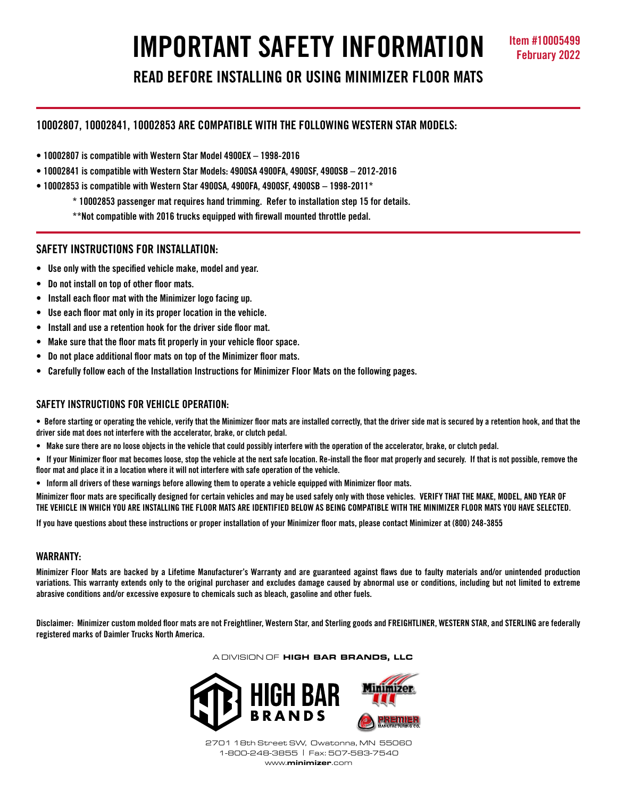# **IMPORTANT SAFETY INFORMATION Item #10005499**

**READ BEFORE INSTALLING OR USING MINIMIZER FLOOR MATS**

# **10002807, 10002841, 10002853 ARE COMPATIBLE WITH THE FOLLOWING WESTERN STAR MODELS:**

- **10002807 is compatible with Western Star Model 4900EX 1998-2016**
- **10002841 is compatible with Western Star Models: 4900SA 4900FA, 4900SF, 4900SB 2012-2016**
- **10002853 is compatible with Western Star 4900SA, 4900FA, 4900SF, 4900SB 1998-2011\***
	- **\* 10002853 passenger mat requires hand trimming. Refer to installation step 15 for details.**
	- **\*\*Not compatible with 2016 trucks equipped with firewall mounted throttle pedal.**

## **SAFETY INSTRUCTIONS FOR INSTALLATION:**

- **Use only with the specified vehicle make, model and year.**
- **Do not install on top of other floor mats.**
- **Install each floor mat with the Minimizer logo facing up.**
- **Use each floor mat only in its proper location in the vehicle.**
- **Install and use a retention hook for the driver side floor mat.**
- **Make sure that the floor mats fit properly in your vehicle floor space.**
- **Do not place additional floor mats on top of the Minimizer floor mats.**
- **Carefully follow each of the Installation Instructions for Minimizer Floor Mats on the following pages.**

# **SAFETY INSTRUCTIONS FOR VEHICLE OPERATION:**

. Before starting or operating the vehicle, verify that the Minimizer floor mats are installed correctly, that the driver side mat is secured by a retention hook, and that the **driver side mat does not interfere with the accelerator, brake, or clutch pedal.**

- Make sure there are no loose objects in the vehicle that could possibly interfere with the operation of the accelerator, brake, or clutch pedal.
- If your Minimizer floor mat becomes loose, stop the vehicle at the next safe location. Re-install the floor mat properly and securely. If that is not possible, remove the floor mat and place it in a location where it will not interfere with safe operation of the vehicle.
- Inform all drivers of these warnings before allowing them to operate a vehicle equipped with Minimizer floor mats.

Minimizer floor mats are specifically designed for certain vehicles and may be used safely only with those vehicles. VERIFY THAT THE MAKE, MODEL, AND YEAR OF **THE VEHICLE IN WHICH YOU ARE INSTALLING THE FLOOR MATS ARE IDENTIFIED BELOW AS BEING COMPATIBLE WITH THE MINIMIZER FLOOR MATS YOU HAVE SELECTED.** 

If you have questions about these instructions or proper installation of your Minimizer floor mats, please contact Minimizer at (800) 248-3855

## **WARRANTY:**

Minimizer Floor Mats are backed by a Lifetime Manufacturer's Warranty and are guaranteed against flaws due to faulty materials and/or unintended production variations. This warranty extends only to the original purchaser and excludes damage caused by abnormal use or conditions, including but not limited to extreme **abrasive conditions and/or excessive exposure to chemicals such as bleach, gasoline and other fuels.**

Disclaimer: Minimizer custom molded floor mats are not Freightliner, Western Star, and Sterling goods and FREIGHTLINER, WESTERN STAR, and STERLING are federally **registered marks of Daimler Trucks North America.**

A DIVISION OF HIGH BAR BRANDS, LLC



2701 18th Street SW, Owatonna, MN 55060 1-800-248-3855 | Fax: 507-583-7540 www.minimizer.com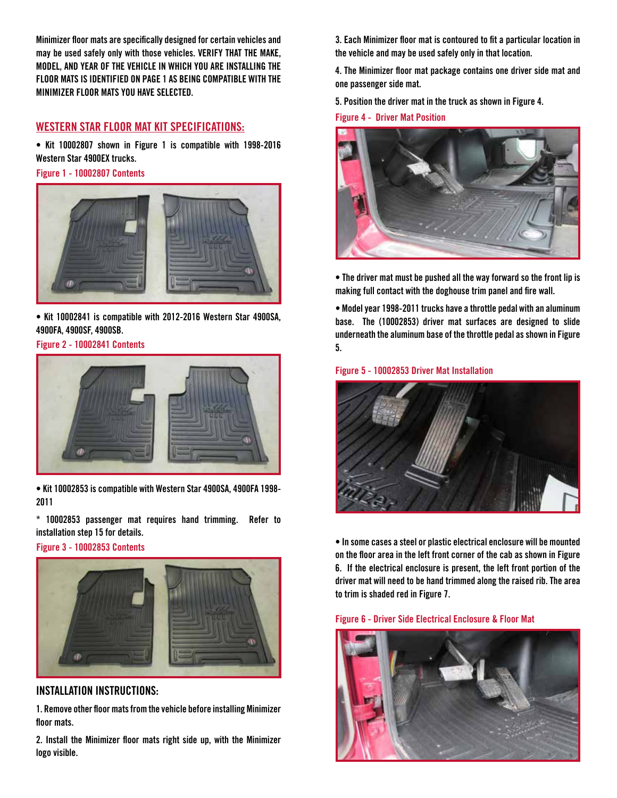**Minimizer floor mats are specifically designed for certain vehicles and may be used safely only with those vehicles. VERIFY THAT THE MAKE, MODEL, AND YEAR OF THE VEHICLE IN WHICH YOU ARE INSTALLING THE FLOOR MATS IS IDENTIFIED ON PAGE 1 AS BEING COMPATIBLE WITH THE MINIMIZER FLOOR MATS YOU HAVE SELECTED.** 

# **WESTERN STAR FLOOR MAT KIT SPECIFICATIONS:**

**• Kit 10002807 shown in Figure 1 is compatible with 1998-2016 Western Star 4900EX trucks.**

**Figure 1 - 10002807 Contents**



**• Kit 10002841 is compatible with 2012-2016 Western Star 4900SA, 4900FA, 4900SF, 4900SB.**

**Figure 2 - 10002841 Contents**



**• Kit 10002853 is compatible with Western Star 4900SA, 4900FA 1998- 2011**

**\* 10002853 passenger mat requires hand trimming. Refer to installation step 15 for details.**

**Figure 3 - 10002853 Contents**



## **INSTALLATION INSTRUCTIONS:**

**1. Remove other floormatsfromthe vehicle before installing Minimizer floor mats.**

**2. Install the Minimizer floor mats right side up, with the Minimizer logo visible.**

**3. Each Minimizer floor mat is contoured to fit a particular location in the vehicle and may be used safely only in that location.**

**4. The Minimizer floor mat package contains one driver side mat and one passenger side mat.** 

**5. Position the driver mat in the truck as shown in Figure 4.**

**Figure 4 - Driver Mat Position**



**• The driver mat must be pushed all the way forward so the front lip is making full contact with the doghouse trim panel and fire wall.**

**• Modelyear 1998-2011 trucks have a throttle pedal with an aluminum base. The (10002853) driver mat surfaces are designed to slide underneath the aluminum base of the throttle pedal as shown in Figure 5.**

**Figure 5 - 10002853 Driver Mat Installation**



**• In some cases a steel or plastic electrical enclosure will be mounted on the floor area in the left front corner of the cab as shown in Figure 6. If the electrical enclosure is present, the left front portion of the driver mat will need to be hand trimmed along the raised rib. The area to trim is shaded red in Figure 7.**

**Figure 6 - Driver Side Electrical Enclosure & Floor Mat**

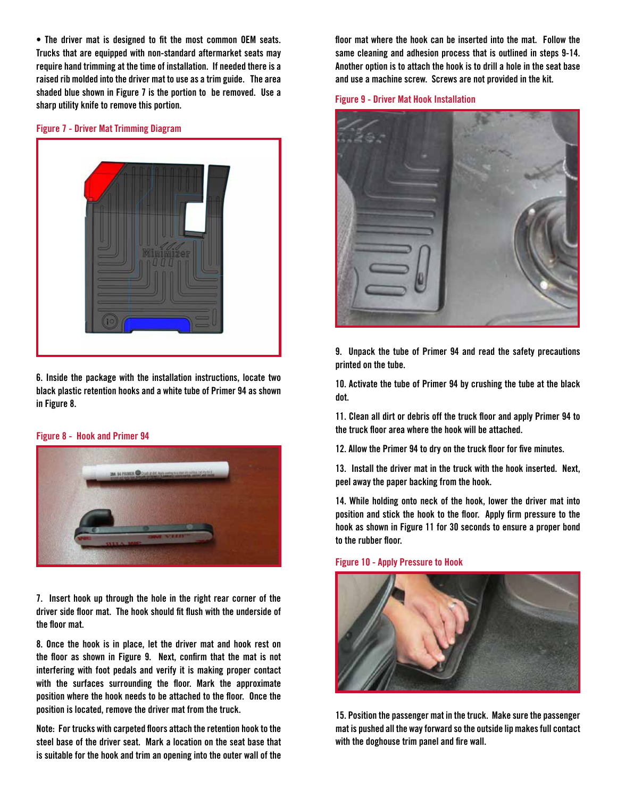**• The driver mat is designed to fit the most common OEM seats. Trucks that are equipped with non-standard aftermarket seats may require hand trimming at the time of installation. If needed there is a raised rib molded into the driver mat to use as a trim guide. The area shaded blue shown in Figure 7 is the portion to be removed. Use a sharp utility knife to remove this portion.**

## **Figure 7 - Driver Mat Trimming Diagram**



**6. Inside the package with the installation instructions, locate two black plastic retention hooks and a white tube of Primer 94 as shown in Figure 8.** 

#### **Figure 8 - Hook and Primer 94**



**7. Insert hook up through the hole in the right rear corner of the driver side floor mat. The hook should fit flush with the underside of the floor mat.** 

**8. Once the hook is in place, let the driver mat and hook rest on the floor as shown in Figure 9. Next, confirm that the mat is not interfering with foot pedals and verify it is making proper contact with the surfaces surrounding the floor. Mark the approximate position where the hook needs to be attached to the floor. Once the position is located, remove the driver mat from the truck.**

**Note: For trucks with carpeted floors attach the retention hook to the steel base of the driver seat. Mark a location on the seat base that is suitable for the hook and trim an opening into the outer wall of the** 

**floor mat where the hook can be inserted into the mat. Follow the same cleaning and adhesion process that is outlined in steps 9-14. Another option is to attach the hook is to drill a hole in the seat base and use a machine screw. Screws are not provided in the kit.**

**Figure 9 - Driver Mat Hook Installation**



**9. Unpack the tube of Primer 94 and read the safety precautions printed on the tube.**

**10. Activate the tube of Primer 94 by crushing the tube at the black dot.**

**11. Clean all dirt or debris off the truck floor and apply Primer 94 to the truck floor area where the hook will be attached.**

**12. Allow the Primer 94 to dry on the truck floor for five minutes.** 

**13. Install the driver mat in the truck with the hook inserted. Next, peel away the paper backing from the hook.**

**14. While holding onto neck of the hook, lower the driver mat into position and stick the hook to the floor. Apply firm pressure to the hook as shown in Figure 11 for 30 seconds to ensure a proper bond to the rubber floor.**

## **Figure 10 - Apply Pressure to Hook**



**15. Position the passenger mat in the truck. Make sure the passenger mat is pushed all the way forward so the outside lip makes full contact with the doghouse trim panel and fire wall.**